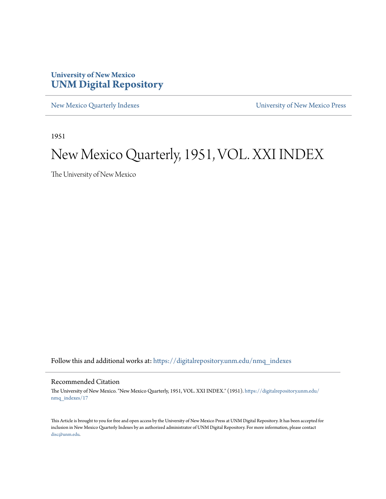### **University of New Mexico [UNM Digital Repository](https://digitalrepository.unm.edu?utm_source=digitalrepository.unm.edu%2Fnmq_indexes%2F17&utm_medium=PDF&utm_campaign=PDFCoverPages)**

[New Mexico Quarterly Indexes](https://digitalrepository.unm.edu/nmq_indexes?utm_source=digitalrepository.unm.edu%2Fnmq_indexes%2F17&utm_medium=PDF&utm_campaign=PDFCoverPages) [University of New Mexico Press](https://digitalrepository.unm.edu/press?utm_source=digitalrepository.unm.edu%2Fnmq_indexes%2F17&utm_medium=PDF&utm_campaign=PDFCoverPages)

1951

### New Mexico Quarterly, 1951, VOL. XXI INDEX

The University of New Mexico

Follow this and additional works at: [https://digitalrepository.unm.edu/nmq\\_indexes](https://digitalrepository.unm.edu/nmq_indexes?utm_source=digitalrepository.unm.edu%2Fnmq_indexes%2F17&utm_medium=PDF&utm_campaign=PDFCoverPages)

### Recommended Citation

The University of New Mexico. "New Mexico Quarterly, 1951, VOL. XXI INDEX." (1951). [https://digitalrepository.unm.edu/](https://digitalrepository.unm.edu/nmq_indexes/17?utm_source=digitalrepository.unm.edu%2Fnmq_indexes%2F17&utm_medium=PDF&utm_campaign=PDFCoverPages) [nmq\\_indexes/17](https://digitalrepository.unm.edu/nmq_indexes/17?utm_source=digitalrepository.unm.edu%2Fnmq_indexes%2F17&utm_medium=PDF&utm_campaign=PDFCoverPages)

This Article is brought to you for free and open access by the University of New Mexico Press at UNM Digital Repository. It has been accepted for inclusion in New Mexico Quarterly Indexes by an authorized administrator of UNM Digital Repository. For more information, please contact [disc@unm.edu](mailto:disc@unm.edu).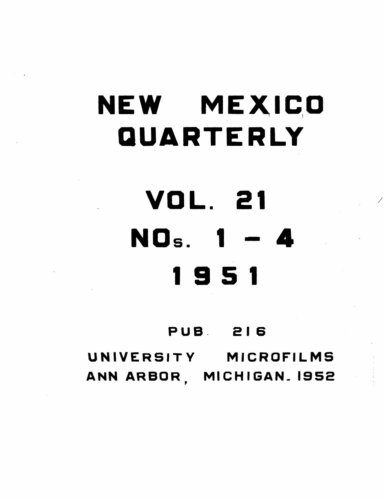## NEW MEXICO QUARTERLY

# VOL. 21 NOs. 1 - 4

### 951

### **PUB 216** UNIVERSITY MICROFILMS ANN ARBOR, MICHIGAN. 1952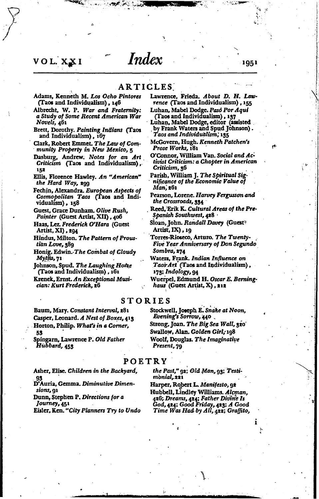### VOL. XXI

### **ARTICLES**

Index

- Adams, Kenneth M. Los Ocho Pintores (Taos and Individualism), 146
- Albrecht, W. P. War and Fraternity: a Study of Some Recent American War Novels, 461
- Brett, Dorothy. Painting Indians (Taos and Individualism), 167
- Clark, Robert Emmet. The Law of Community Property in New Mexico, 5
- Dasburg, Andrew. Notes for an Art Criticism (Taos and Individualism), 152
- Ellis, Florence Hawley. An "American" the Hard Way, 299
- Fechin, Alexandra. European Aspects of Cosmopolitan Taos (Taos and Individualism), 158
- Guest, Grace Dunham. Olive Rush, Painter (Guest Artist, XII), 406
- Haas, Lez. Frederick O'Hara (Guest Artist, XI), 294
- Hindus, Milton. The Pattern of Proustian Love, 389
- Honig, Edwin. The Combat of Cloudy Myths, 71
- Johnson, Spud. The Laughing Home (Taos and Individualism), 161
- Krenek, Ernst. An Exceptional Musician: Kurt Frederick, 26

Baum, Mary. Constant Interval, 281 Casper, Leonard. A Nest of Boxes, 413 Horton, Philip. What's in a Corner, 53

Spingarn, Lawrence P. Old Father Hubbard, 453

### POETRY

Asher, Elise. Children in the Backyard, 93

D'Auria, Gemma. Diminutive Dimensions, 91

Dunn, Stephen P. Directions for a Journey, 451

Eisler, Ken. "City Planners Try to Undo

### Lawrence, Frieda. About D. H. Lawrence (Taos and Individualism), 155

- Luhan, Mabel Dodge. Paso Por Aqui
- (Taos and Individualism), 137<br>Luhan, Mabel Dodge, editor (assisted by Frank Waters and Spud Johnson). Taos and Individualism, 135
- McGovern, Hugh. Kenneth Patchen's Prose Works, 181
- O'Connor, William Van. Social and Activist Criticism: a Chapter in American Criticism, 36

Parish, William J. The Spiritual Significance of the Economic Value of Man, 261

Pearson, Lorene. Harvey Fergusson and the Crossroads, 334

- Reed, Erik K. Cultural Areas of the Pre-Spanish Southwest, 428
- Sloan, John. *Randall Dave*y (Guest<sup>s</sup> Artist, IX), 19
- Torres-Rioseco, Arturo. The Twenty-Five Year Anniversary of Don Segundo Sombra, 274
- Waters, Frank. Indian Influence on Taos Art (Taos and Individualism), 173; Indology, 94
- Wuerpel, Edmund H. Oscar E. Berninghaus (Guest Artist, X), 212

### **STORIES**

Stockwell, Joseph E. Snake at Noon, Evening's Sorrow, 440. Strong, Joan. The Big Sea Wall, 320' Swallow, Alan. Golden Girl, 198 Woolf, Douglas. The Imaginative Present, 79

the Past," 92; Old Man, 93; Testimonial, 221

Harper, Robert L. Manifesto, 92 Hubbell, Lindley Williams. Aleman, 426; Dreams, 424; Father Divine Is God, 424; Good Friday, 423; A Good Time Was Had by All, 422; Graffito,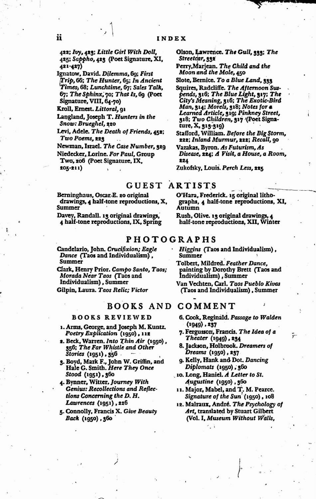422; Ivy, 423; Little Girl With Doll, 425; Sappho, 423 (Poet Signature, XI, 421-427)

Ignatow, David. Dilemma, 69; First Trip, 66; The Hunter, 65; In Ancient Times, 68; Lunchtime, 67; Sales Talk, 67; The Sphinx, 70; That Is, 60 (Poet Signature, VIII, 64-70)

Kroll, Ernest. Littoral, 91

Langland, Joseph T. Hunters in the Snow: Brueghel, 220

Levi. Adele. The Death of Friends, 452; Two Poems, 223

Newman, Israel. The Case Number, 329 Niedecker, Lorine. For Paul, Group Two, 206 (Poet Signature, IX.  $205 - 211$ 

Berninghaus, Oscar-E. 20 original drawings, 4 half-tone reproductions, X, Summer

Davey, Randall. 13 original drawings, 4 half-tone reproductions, IX, Spring

Candelario, John. Crucifixion; Eagle Dance (Taos and Individualism), Summer

Clark, Henry Prior. Campo Santo, Taos; Morada Near Taos (Taos and Individualism), Summer

Gilpin, Laura. Taos Relic; Victor

### BOOKS AND COMMENT

### **BOOKS REVIEWED**

- 1. Arms, George, and Joseph M. Kuntz. Poetry Explication (1950), 112
- 2. Beck, Warren. Into Thin Air (1950), 356; The Far Whistle and Other *Stories* (1951), 356
- 3. Boyd, Mark F., John W. Griffin, and Hale G. Smith. Here They Once Stood (1951), 360
- 4. Bynner, Witter, Journey With Genius: Recollections and Reflections Concerning the D.H. Lawrences (1951), 226
- 5. Connolly, Francis X. Give Beauty Back (1950), 360

Olson, Lawrence. The Gull, 333; The Streetcar, 332

Perry, Marjean. The Child and the Moon and the Mole, 450

- Slote, Bernice. To a Blue Land, 333
- Squires, Radcliffe. The Afternoon Suspends, 316; The Blue Light, 317; The City's Meaning, 316; The Exotic-Bird Man, 314; Morels, 318; Notes for a Learned Article, 319; Pinkney Street, 318; Two Children, 317 '(Poet Signature, X, 313-319)
- Stafford, William. Before the Big Storm, 222; Inland Murmur, 222; Recall, 90
- Vazakas, Byron. As Futurism, As Disease, 224; A Visit, a House, a Room, 224

Zukofsky, Louis. Perch Less, 225

### **GUEST ARTISTS**

O'Hara, Frederick. 15 original lithographs, 4 half-tone reproductions, XI, Autumn

Rush, Olive. 13 original drawings, 4 half-tone reproductions, XII, Winter

### **PHOTOGRAPHS**

Higgins (Taos and Individualism), Summer

Tolbert, Mildred. Feather Dance, painting by Dorothy Brett (Taos and Individualism), Summer

Van Vechten, Carl. Taos Pueblo Kivas (Taos and Individualism), Summer

- 
- 6. Cook, Reginald. Passage to Walden  $(1949)$ , 237
- 7. Fergusson, Francis. The Idea of a Theater (1949), 234
- 8. Jackson, Holbrook. Dreamers of Dreams (1950), 237
- 9. Kelly, Hank and Dot. Dancing Diplomats (1950), 360
- 10. Long, Haniel. A Letter to St. Augustine (1950), 360
- 11. Major, Mabel, and T. M. Pearce. Signature of the Sun (1950), 108
- 12. Malraux, André. The Psychology of Art, translated by Stuart Gilbert (Vol. I, Museum Without Walls,

ii